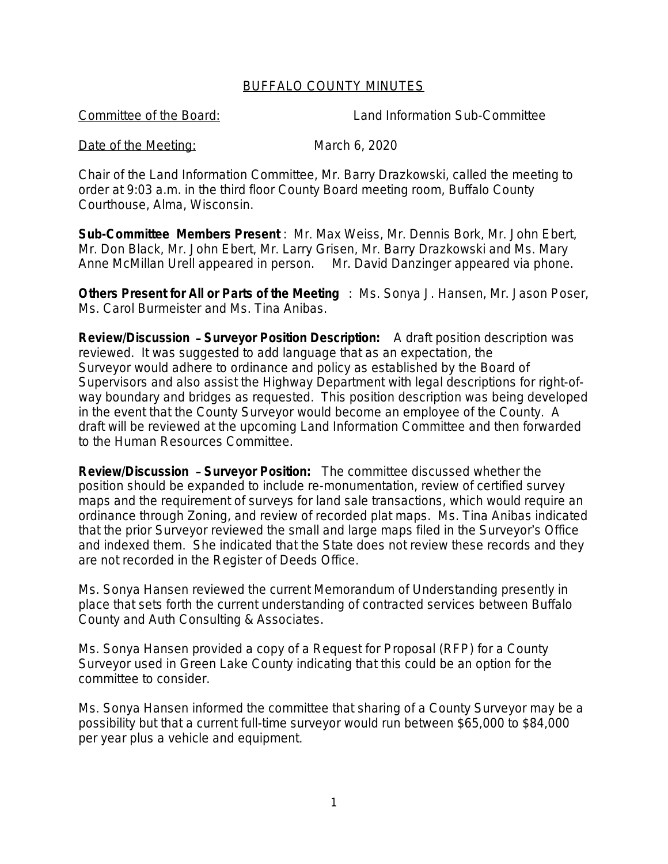## BUFFALO COUNTY MINUTES

Committee of the Board: Land Information Sub-Committee

## Date of the Meeting: March 6, 2020

Chair of the Land Information Committee, Mr. Barry Drazkowski, called the meeting to order at 9:03 a.m. in the third floor County Board meeting room, Buffalo County Courthouse, Alma, Wisconsin.

**Sub-Committee Members Present** : Mr. Max Weiss, Mr. Dennis Bork, Mr. John Ebert, Mr. Don Black, Mr. John Ebert, Mr. Larry Grisen, Mr. Barry Drazkowski and Ms. Mary Anne McMillan Urell appeared in person. Mr. David Danzinger appeared via phone.

**Others Present for All or Parts of the Meeting** : Ms. Sonya J. Hansen, Mr. Jason Poser, Ms. Carol Burmeister and Ms. Tina Anibas.

**Review/Discussion** – **Surveyor Position Description:** A draft position description was reviewed. It was suggested to add language that as an expectation, the Surveyor would adhere to ordinance and policy as established by the Board of Supervisors and also assist the Highway Department with legal descriptions for right-ofway boundary and bridges as requested. This position description was being developed in the event that the County Surveyor would become an employee of the County. A draft will be reviewed at the upcoming Land Information Committee and then forwarded to the Human Resources Committee.

**Review/Discussion** – **Surveyor Position:** The committee discussed whether the position should be expanded to include re-monumentation, review of certified survey maps and the requirement of surveys for land sale transactions, which would require an ordinance through Zoning, and review of recorded plat maps. Ms. Tina Anibas indicated that the prior Surveyor reviewed the small and large maps filed in the Surveyor's Office and indexed them. She indicated that the State does not review these records and they are not recorded in the Register of Deeds Office.

Ms. Sonya Hansen reviewed the current Memorandum of Understanding presently in place that sets forth the current understanding of contracted services between Buffalo County and Auth Consulting & Associates.

Ms. Sonya Hansen provided a copy of a Request for Proposal (RFP) for a County Surveyor used in Green Lake County indicating that this could be an option for the committee to consider.

Ms. Sonya Hansen informed the committee that sharing of a County Surveyor may be a possibility but that a current full-time surveyor would run between \$65,000 to \$84,000 per year plus a vehicle and equipment.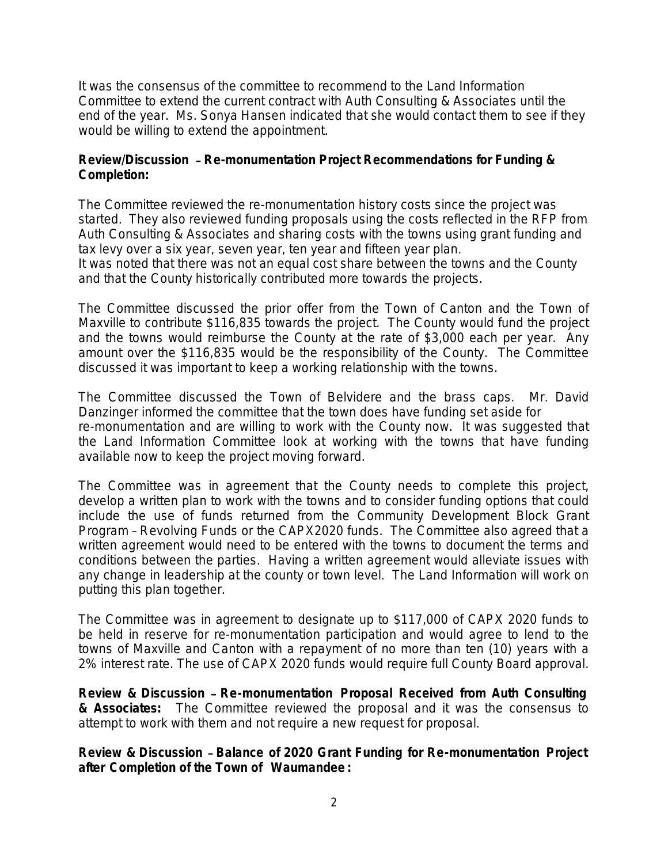It was the consensus of the committee to recommend to the Land Information Committee to extend the current contract with Auth Consulting & Associates until the end of the year. Ms. Sonya Hansen indicated that she would contact them to see if they would be willing to extend the appointment.

## **Review/Discussion** – **Re-monumentation Project Recommendations for Funding & Completion:**

The Committee reviewed the re-monumentation history costs since the project was started. They also reviewed funding proposals using the costs reflected in the RFP from Auth Consulting & Associates and sharing costs with the towns using grant funding and tax levy over a six year, seven year, ten year and fifteen year plan. It was noted that there was not an equal cost share between the towns and the County and that the County historically contributed more towards the projects.

The Committee discussed the prior offer from the Town of Canton and the Town of Maxville to contribute \$116,835 towards the project. The County would fund the project and the towns would reimburse the County at the rate of \$3,000 each per year. Any amount over the \$116,835 would be the responsibility of the County. The Committee discussed it was important to keep a working relationship with the towns.

The Committee discussed the Town of Belvidere and the brass caps. Mr. David Danzinger informed the committee that the town does have funding set aside for re-monumentation and are willing to work with the County now. It was suggested that the Land Information Committee look at working with the towns that have funding available now to keep the project moving forward.

The Committee was in agreement that the County needs to complete this project, develop a written plan to work with the towns and to consider funding options that could include the use of funds returned from the Community Development Block Grant Program – Revolving Funds or the CAPX2020 funds. The Committee also agreed that a written agreement would need to be entered with the towns to document the terms and conditions between the parties. Having a written agreement would alleviate issues with any change in leadership at the county or town level. The Land Information will work on putting this plan together.

The Committee was in agreement to designate up to \$117,000 of CAPX 2020 funds to be held in reserve for re-monumentation participation and would agree to lend to the towns of Maxville and Canton with a repayment of no more than ten (10) years with a 2% interest rate. The use of CAPX 2020 funds would require full County Board approval.

**Review & Discussion** – **Re-monumentation Proposal Received from Auth Consulting & Associates:** The Committee reviewed the proposal and it was the consensus to attempt to work with them and not require a new request for proposal.

**Review & Discussion** – **Balance of 2020 Grant Funding for Re-monumentation Project after Completion of the Town of Waumandee :**